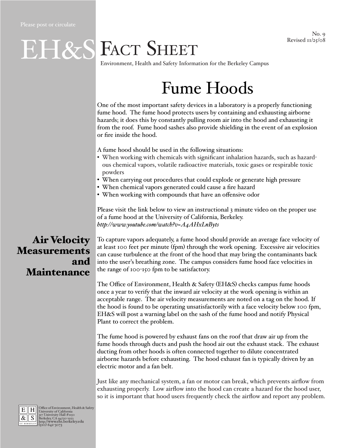# EH&S FACT SHEET

Environment, Health and Safety Information for the Berkeley Campus

# Fume Hoods

One of the most important safety devices in a laboratory is a properly functioning fume hood. The fume hood protects users by containing and exhausting airborne hazards; it does this by constantly pulling room air into the hood and exhausting it from the roof. Fume hood sashes also provide shielding in the event of an explosion or fire inside the hood.

A fume hood should be used in the following situations:

- When working with chemicals with significant inhalation hazards, such as hazardous chemical vapors, volatile radioactive materials, toxic gases or respirable toxic powders
- When carrying out procedures that could explode or generate high pressure
- When chemical vapors generated could cause a fire hazard
- When working with compounds that have an offensive odor

Please visit the link below to view an instructional 3 minute video on the proper use of a fume hood at the University of California, Berkeley. *<http://www.youtube.com/watch?v=A4AHxLnByts>*

## Air Velocity Measurements and Maintenance

To capture vapors adequately, a fume hood should provide an average face velocity of at least 100 feet per minute (fpm) through the work opening. Excessive air velocities can cause turbulence at the front of the hood that may bring the contaminants back into the user's breathing zone. The campus considers fume hood face velocities in the range of 100-150 fpm to be satisfactory.

The Office of Environment, Health & Safety (EH&S) checks campus fume hoods once a year to verify that the inward air velocity at the work opening is within an acceptable range. The air velocity measurements are noted on a tag on the hood. If the hood is found to be operating unsatisfactorily with a face velocity below 100 fpm, EH&S will post a warning label on the sash of the fume hood and notify Physical Plant to correct the problem.

The fume hood is powered by exhaust fans on the roof that draw air up from the fume hoods through ducts and push the hood air out the exhaust stack. The exhaust ducting from other hoods is often connected together to dilute concentrated airborne hazards before exhausting. The hood exhaust fan is typically driven by an electric motor and a fan belt.

Just like any mechanical system, a fan or motor can break, which prevents airflow from exhausting properly. Low airflow into the hood can create a hazard for the hood user, so it is important that hood users frequently check the airflow and report any problem.



E H Office of Environment, Health & Safety<br>  $\frac{R}{\mathcal{R}}$  S Burkersity Galifornia<br>
Berkeley, CA 94720-1150<br> **http://www.ehs.berkeley.cdu**<br> **http://www.ehs.berkeley.cdu**<br>
(510) 642-3073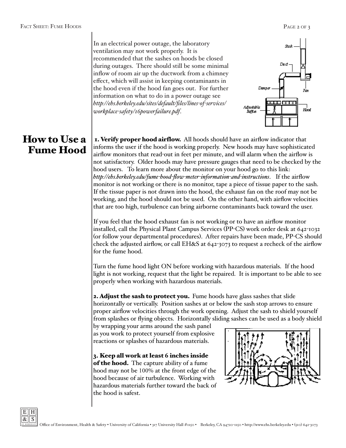In an electrical power outage, the laboratory ventilation may not work properly. It is recommended that the sashes on hoods be closed during outages. There should still be some minimal inflow of room air up the ductwork from a chimney effect, which will assist in keeping contaminants in the hood even if the hood fan goes out. For further information on what to do in a power outage see *[http://ehs.berkeley.edu/sites/default/files/lines-of-services/](http://ehs.berkeley.edu/sites/default/files/lines-of-services/workplace-safety/16powerfailure.pdf) [workplace-safety/16powerfailure.pdf](http://ehs.berkeley.edu/sites/default/files/lines-of-services/workplace-safety/16powerfailure.pdf)*.



## How to Use a Fume Hood

1. Verify proper hood airflow. All hoods should have an airflow indicator that informs the user if the hood is working properly. New hoods may have sophisticated airflow monitors that read-out in feet per minute, and will alarm when the airflow is not satisfactory. Older hoods may have pressure gauges that need to be checked by the hood users. To learn more about the monitor on your hood go to this link: *<http://ehs.berkeley.edu/fume-hood-flow-meter-information-and-instructions>*. If the airflow monitor is not working or there is no monitor, tape a piece of tissue paper to the sash. If the tissue paper is not drawn into the hood, the exhaust fan on the roof may not be working, and the hood should not be used. On the other hand, with airflow velocities that are too high, turbulence can bring airborne contaminants back toward the user.

If you feel that the hood exhaust fan is not working or to have an airflow monitor installed, call the Physical Plant Campus Services (PP-CS) work order desk at 642-1032 (or follow your departmental procedures). After repairs have been made, PP-CS should check the adjusted airflow, or call EH&S at 642-3073 to request a recheck of the airflow for the fume hood.

Turn the fume hood light ON before working with hazardous materials. If the hood light is not working, request that the light be repaired. It is important to be able to see properly when working with hazardous materials.

**2. Adjust the sash to protect you.** Fume hoods have glass sashes that slide horizontally or vertically. Position sashes at or below the sash stop arrows to ensure proper airflow velocities through the work opening. Adjust the sash to shield yourself from splashes or flying objects. Horizontally sliding sashes can be used as a body shield

by wrapping your arms around the sash panel as you work to protect yourself from explosive reactions or splashes of hazardous materials.

3. Keep all work at least **6** inches inside of the hood. The capture ability of a fume hood may not be 100% at the front edge of the hood because of air turbulence. Working with hazardous materials further toward the back of the hood is safest.



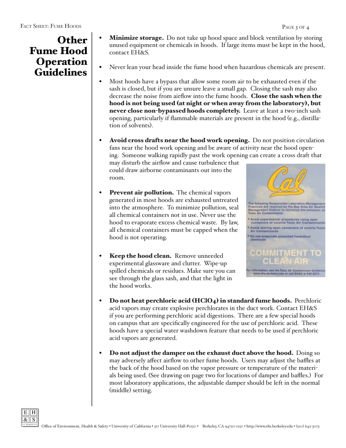- PAGE 3 OF 4
- **Minimize storage.** Do not take up hood space and block ventilation by storing unused equipment or chemicals in hoods. If large items must be kept in the hood, contact EH&S.
- Never lean your head inside the fume hood when hazardous chemicals are present.
- **•**  Most hoods have a bypass that allow some room air to be exhausted even if the sash is closed, but if you are unsure leave a small gap. Closing the sash may also decrease the noise from airflow into the fume hoods. Close the sash when the hood is not being used (at night or when away from the laboratory), but never close non-bypassed hoods completely. Leave at least a two-inch sash opening, particularly if flammable materials are present in the hood (e.g., distillation of solvents).
- Avoid cross drafts near the hood work opening. Do not position circulation fans near the hood work opening and be aware of activity near the hood opening. Someone walking rapidly past the work opening can create a cross draft that

may disturb the airflow and cause turbulence that could draw airborne contaminants out into the room.

- **•** Prevent air pollution. The chemical vapors generated in most hoods are exhausted untreated into the atmosphere. To minimize pollution, seal all chemical containers not in use. Never use the hood to evaporate excess chemical waste. By law, all chemical containers must be capped when the hood is not operating.
- **Keep the hood clean.** Remove unneeded experimental glassware and clutter. Wipe-up spilled chemicals or residues. Make sure you can see through the glass sash, and that the light in the hood works.



- **•** Do not heat perchloric acid (HClO<sub>4</sub>) in standard fume hoods. Perchloric acid vapors may create explosive perchlorates in the duct work. Contact EH&S if you are performing perchloric acid digestions. There are a few special hoods on campus that are specifically engineered for the use of perchloric acid. These hoods have a special water washdown feature that needs to be used if perchloric acid vapors are generated.
- Do not adjust the damper on the exhaust duct above the hood. Doing so may adversely affect airflow to other fume hoods. Users may adjust the baffles at the back of the hood based on the vapor pressure or temperature of the materials being used. (See drawing on page two for locations of damper and baffles.) For most laboratory applications, the adjustable damper should be left in the normal (middle) setting.